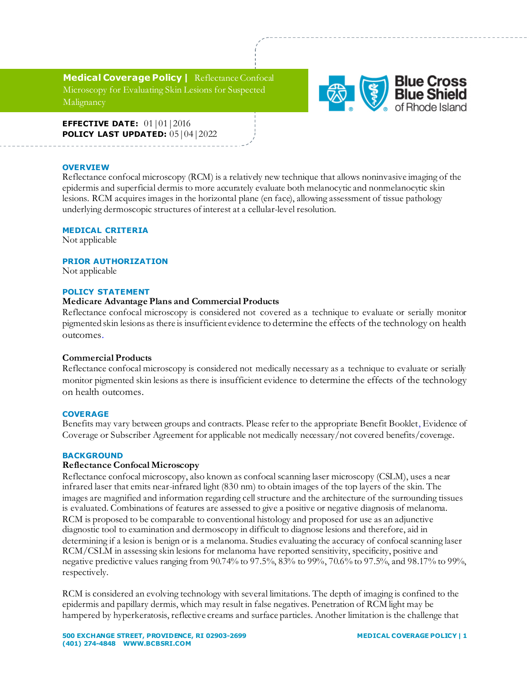**Medical Coverage Policy |** Reflectance Confocal Microscopy for Evaluating Skin Lesions for Suspected Malignancy



**EFFECTIVE DATE:** 01|01|2016 **POLICY LAST UPDATED:** 05|04|2022

### **OVERVIEW**

Reflectance confocal microscopy (RCM) is a relatively new technique that allows noninvasive imaging of the epidermis and superficial dermis to more accurately evaluate both melanocytic and nonmelanocytic skin lesions. RCM acquires images in the horizontal plane (en face), allowing assessment of tissue pathology underlying dermoscopic structures of interest at a cellular-level resolution.

### **MEDICAL CRITERIA**

Not applicable

# **PRIOR AUTHORIZATION**

Not applicable

### **POLICY STATEMENT**

# **Medicare Advantage Plans and Commercial Products**

Reflectance confocal microscopy is considered not covered as a technique to evaluate or serially monitor pigmented skin lesions as there is insufficient evidence to determine the effects of the technology on health outcomes.

### **Commercial Products**

Reflectance confocal microscopy is considered not medically necessary as a technique to evaluate or serially monitor pigmented skin lesions as there is insufficient evidence to determine the effects of the technology on health outcomes.

# **COVERAGE**

Benefits may vary between groups and contracts. Please refer to the appropriate Benefit Booklet, Evidence of Coverage or Subscriber Agreement for applicable not medically necessary/not covered benefits/coverage.

### **BACKGROUND**

### **Reflectance Confocal Microscopy**

Reflectance confocal microscopy, also known as confocal scanning laser microscopy (CSLM), uses a near infrared laser that emits near-infrared light (830 nm) to obtain images of the top layers of the skin. The images are magnified and information regarding cell structure and the architecture of the surrounding tissues is evaluated. Combinations of features are assessed to give a positive or negative diagnosis of melanoma. RCM is proposed to be comparable to conventional histology and proposed for use as an adjunctive diagnostic tool to examination and dermoscopy in difficult to diagnose lesions and therefore, aid in determining if a lesion is benign or is a melanoma. Studies evaluating the accuracy of confocal scanning laser RCM/CSLM in assessing skin lesions for melanoma have reported sensitivity, specificity, positive and negative predictive values ranging from 90.74% to 97.5%, 83% to 99%, 70.6% to 97.5%, and 98.17% to 99%, respectively.

RCM is considered an evolving technology with several limitations. The depth of imaging is confined to the epidermis and papillary dermis, which may result in false negatives. Penetration of RCM light may be hampered by hyperkeratosis, reflective creams and surface particles. Another limitation is the challenge that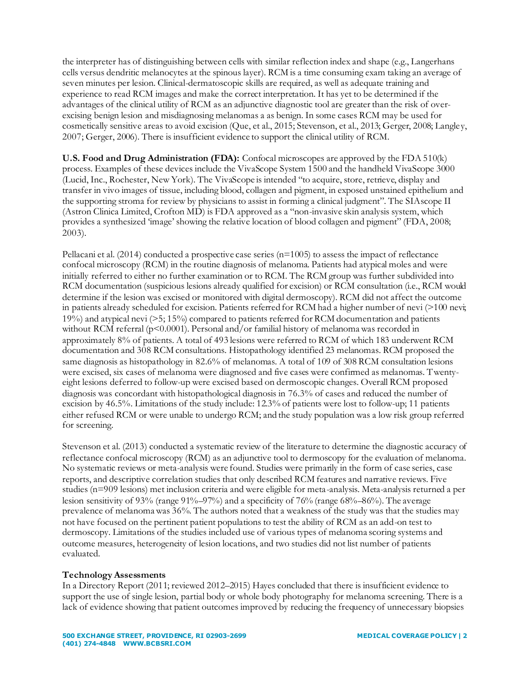the interpreter has of distinguishing between cells with similar reflection index and shape (e.g., Langerhans cells versus dendritic melanocytes at the spinous layer). RCM is a time consuming exam taking an average of seven minutes per lesion. Clinical-dermatoscopic skills are required, as well as adequate training and experience to read RCM images and make the correct interpretation. It has yet to be determined if the advantages of the clinical utility of RCM as an adjunctive diagnostic tool are greater than the risk of overexcising benign lesion and misdiagnosing melanomas a as benign. In some cases RCM may be used for cosmetically sensitive areas to avoid excision (Que, et al., 2015; Stevenson, et al., 2013; Gerger, 2008; Langley, 2007; Gerger, 2006). There is insufficient evidence to support the clinical utility of RCM.

**U.S. Food and Drug Administration (FDA):** Confocal microscopes are approved by the FDA 510(k) process. Examples of these devices include the VivaScope System 1500 and the handheld VivaScope 3000 (Lucid, Inc., Rochester, New York). The VivaScope is intended "to acquire, store, retrieve, display and transfer in vivo images of tissue, including blood, collagen and pigment, in exposed unstained epithelium and the supporting stroma for review by physicians to assist in forming a clinical judgment". The SIAscope II (Astron Clinica Limited, Crofton MD) is FDA approved as a "non-invasive skin analysis system, which provides a synthesized 'image' showing the relative location of blood collagen and pigment" (FDA, 2008; 2003).

Pellacani et al.  $(2014)$  conducted a prospective case series  $(n=1005)$  to assess the impact of reflectance confocal microscopy (RCM) in the routine diagnosis of melanoma. Patients had atypical moles and were initially referred to either no further examination or to RCM. The RCM group was further subdivided into RCM documentation (suspicious lesions already qualified for excision) or RCM consultation (i.e., RCM would determine if the lesion was excised or monitored with digital dermoscopy). RCM did not affect the outcome in patients already scheduled for excision. Patients referred for RCM had a higher number of nevi (>100 nevi; 19%) and atypical nevi (>5; 15%) compared to patients referred for RCM documentation and patients without RCM referral (p<0.0001). Personal and/or familial history of melanoma was recorded in approximately 8% of patients. A total of 493 lesions were referred to RCM of which 183 underwent RCM documentation and 308 RCM consultations. Histopathology identified 23 melanomas. RCM proposed the same diagnosis as histopathology in 82.6% of melanomas. A total of 109 of 308 RCM consultation lesions were excised, six cases of melanoma were diagnosed and five cases were confirmed as melanomas. Twentyeight lesions deferred to follow-up were excised based on dermoscopic changes. Overall RCM proposed diagnosis was concordant with histopathological diagnosis in 76.3% of cases and reduced the number of excision by 46.5%. Limitations of the study include: 12.3% of patients were lost to follow-up; 11 patients either refused RCM or were unable to undergo RCM; and the study population was a low risk group referred for screening.

Stevenson et al. (2013) conducted a systematic review of the literature to determine the diagnostic accuracy of reflectance confocal microscopy (RCM) as an adjunctive tool to dermoscopy for the evaluation of melanoma. No systematic reviews or meta-analysis were found. Studies were primarily in the form of case series, case reports, and descriptive correlation studies that only described RCM features and narrative reviews. Five studies (n=909 lesions) met inclusion criteria and were eligible for meta-analysis. Meta-analysis returned a per lesion sensitivity of 93% (range 91%–97%) and a specificity of 76% (range 68%–86%). The average prevalence of melanoma was 36%. The authors noted that a weakness of the study was that the studies may not have focused on the pertinent patient populations to test the ability of RCM as an add-on test to dermoscopy. Limitations of the studies included use of various types of melanoma scoring systems and outcome measures, heterogeneity of lesion locations, and two studies did not list number of patients evaluated.

# **Technology Assessments**

In a Directory Report (2011; reviewed 2012–2015) Hayes concluded that there is insufficient evidence to support the use of single lesion, partial body or whole body photography for melanoma screening. There is a lack of evidence showing that patient outcomes improved by reducing the frequency of unnecessary biopsies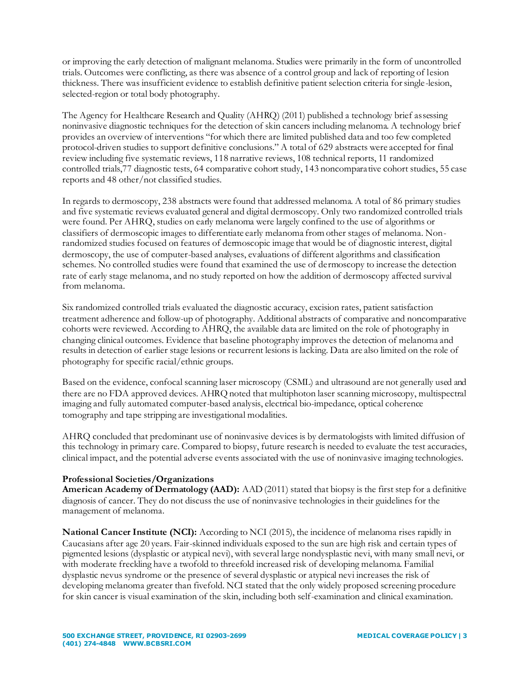or improving the early detection of malignant melanoma. Studies were primarily in the form of uncontrolled trials. Outcomes were conflicting, as there was absence of a control group and lack of reporting of lesion thickness. There was insufficient evidence to establish definitive patient selection criteria for single-lesion, selected-region or total body photography.

The Agency for Healthcare Research and Quality (AHRQ) (2011) published a technology brief assessing noninvasive diagnostic techniques for the detection of skin cancers including melanoma. A technology brief provides an overview of interventions "for which there are limited published data and too few completed protocol-driven studies to support definitive conclusions." A total of 629 abstracts were accepted for final review including five systematic reviews, 118 narrative reviews, 108 technical reports, 11 randomized controlled trials,77 diagnostic tests, 64 comparative cohort study, 143 noncomparative cohort studies, 55 case reports and 48 other/not classified studies.

In regards to dermoscopy, 238 abstracts were found that addressed melanoma. A total of 86 primary studies and five systematic reviews evaluated general and digital dermoscopy. Only two randomized controlled trials were found. Per AHRQ, studies on early melanoma were largely confined to the use of algorithms or classifiers of dermoscopic images to differentiate early melanoma from other stages of melanoma. Nonrandomized studies focused on features of dermoscopic image that would be of diagnostic interest, digital dermoscopy, the use of computer-based analyses, evaluations of different algorithms and classification schemes. No controlled studies were found that examined the use of dermoscopy to increase the detection rate of early stage melanoma, and no study reported on how the addition of dermoscopy affected survival from melanoma.

Six randomized controlled trials evaluated the diagnostic accuracy, excision rates, patient satisfaction treatment adherence and follow-up of photography. Additional abstracts of comparative and noncomparative cohorts were reviewed. According to AHRQ, the available data are limited on the role of photography in changing clinical outcomes. Evidence that baseline photography improves the detection of melanoma and results in detection of earlier stage lesions or recurrent lesions is lacking. Data are also limited on the role of photography for specific racial/ethnic groups.

Based on the evidence, confocal scanning laser microscopy (CSML) and ultrasound are not generally used and there are no FDA approved devices. AHRQ noted that multiphoton laser scanning microscopy, multispectral imaging and fully automated computer-based analysis, electrical bio-impedance, optical coherence tomography and tape stripping are investigational modalities.

AHRQ concluded that predominant use of noninvasive devices is by dermatologists with limited diffusion of this technology in primary care. Compared to biopsy, future research is needed to evaluate the test accuracies, clinical impact, and the potential adverse events associated with the use of noninvasive imaging technologies.

# **Professional Societies/Organizations**

**American Academy of Dermatology (AAD):** AAD (2011) stated that biopsy is the first step for a definitive diagnosis of cancer. They do not discuss the use of noninvasive technologies in their guidelines for the management of melanoma.

**National Cancer Institute (NCI):** According to NCI (2015), the incidence of melanoma rises rapidly in Caucasians after age 20 years. Fair-skinned individuals exposed to the sun are high risk and certain types of pigmented lesions (dysplastic or atypical nevi), with several large nondysplastic nevi, with many small nevi, or with moderate freckling have a twofold to threefold increased risk of developing melanoma. Familial dysplastic nevus syndrome or the presence of several dysplastic or atypical nevi increases the risk of developing melanoma greater than fivefold. NCI stated that the only widely proposed screening procedure for skin cancer is visual examination of the skin, including both self-examination and clinical examination.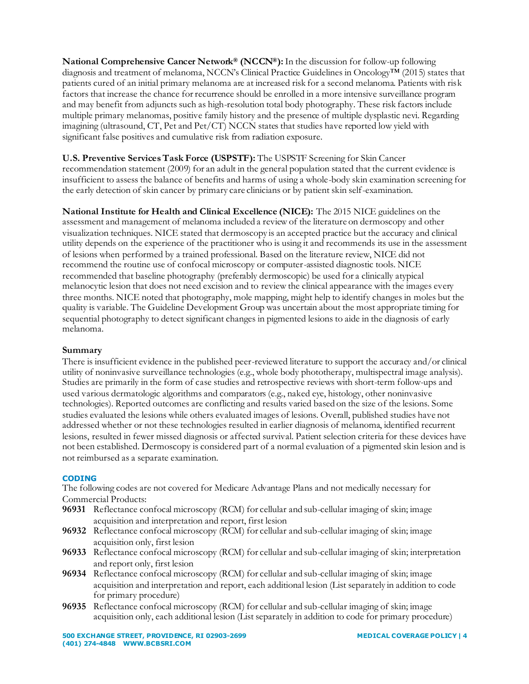**National Comprehensive Cancer Network® (NCCN®):**In the discussion for follow-up following diagnosis and treatment of melanoma, NCCN's Clinical Practice Guidelines in Oncology™ (2015) states that patients cured of an initial primary melanoma are at increased risk for a second melanoma. Patients with risk factors that increase the chance for recurrence should be enrolled in a more intensive surveillance program and may benefit from adjuncts such as high-resolution total body photography. These risk factors include multiple primary melanomas, positive family history and the presence of multiple dysplastic nevi. Regarding imagining (ultrasound, CT, Pet and Pet/CT) NCCN states that studies have reported low yield with significant false positives and cumulative risk from radiation exposure.

**U.S. Preventive Services Task Force (USPSTF):** The USPSTF Screening for Skin Cancer recommendation statement (2009) for an adult in the general population stated that the current evidence is insufficient to assess the balance of benefits and harms of using a whole-body skin examination screening for the early detection of skin cancer by primary care clinicians or by patient skin self-examination.

**National Institute for Health and Clinical Excellence (NICE):** The 2015 NICE guidelines on the assessment and management of melanoma included a review of the literature on dermoscopy and other visualization techniques. NICE stated that dermoscopy is an accepted practice but the accuracy and clinical utility depends on the experience of the practitioner who is using it and recommends its use in the assessment of lesions when performed by a trained professional. Based on the literature review, NICE did not recommend the routine use of confocal microscopy or computer-assisted diagnostic tools. NICE recommended that baseline photography (preferably dermoscopic) be used for a clinically atypical melanocytic lesion that does not need excision and to review the clinical appearance with the images every three months. NICE noted that photography, mole mapping, might help to identify changes in moles but the quality is variable. The Guideline Development Group was uncertain about the most appropriate timing for sequential photography to detect significant changes in pigmented lesions to aide in the diagnosis of early melanoma.

# **Summary**

There is insufficient evidence in the published peer-reviewed literature to support the accuracy and/or clinical utility of noninvasive surveillance technologies (e.g., whole body phototherapy, multispectral image analysis). Studies are primarily in the form of case studies and retrospective reviews with short-term follow-ups and used various dermatologic algorithms and comparators (e.g., naked eye, histology, other noninvasive technologies). Reported outcomes are conflicting and results varied based on the size of the lesions. Some studies evaluated the lesions while others evaluated images of lesions. Overall, published studies have not addressed whether or not these technologies resulted in earlier diagnosis of melanoma, identified recurrent lesions, resulted in fewer missed diagnosis or affected survival. Patient selection criteria for these devices have not been established. Dermoscopy is considered part of a normal evaluation of a pigmented skin lesion and is not reimbursed as a separate examination.

# **CODING**

The following codes are not covered for Medicare Advantage Plans and not medically necessary for Commercial Products:

- **96931** Reflectance confocal microscopy (RCM) for cellular and sub-cellular imaging of skin; image acquisition and interpretation and report, first lesion
- **96932** Reflectance confocal microscopy (RCM) for cellular and sub-cellular imaging of skin; image acquisition only, first lesion
- **96933** Reflectance confocal microscopy (RCM) for cellular and sub-cellular imaging of skin; interpretation and report only, first lesion
- **96934** Reflectance confocal microscopy (RCM) for cellular and sub-cellular imaging of skin; image acquisition and interpretation and report, each additional lesion (List separately in addition to code for primary procedure)
- **96935** Reflectance confocal microscopy (RCM) for cellular and sub-cellular imaging of skin; image acquisition only, each additional lesion (List separately in addition to code for primary procedure)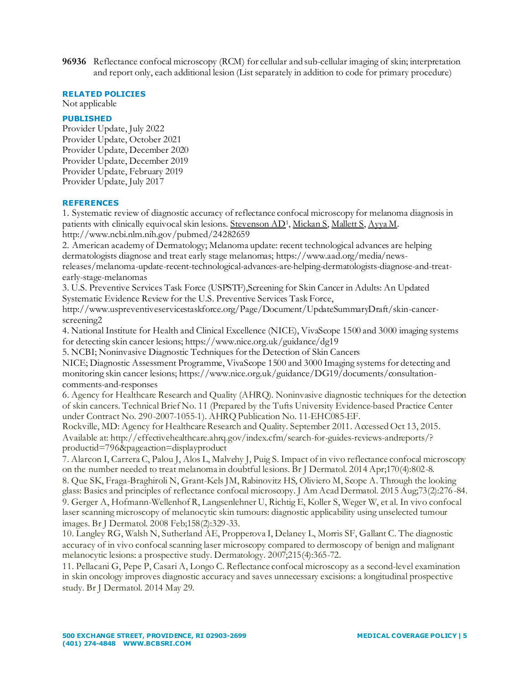**96936** Reflectance confocal microscopy (RCM) for cellular and sub-cellular imaging of skin; interpretation and report only, each additional lesion (List separately in addition to code for primary procedure)

### **RELATED POLICIES**

Not applicable

# **PUBLISHED**

Provider Update, July 2022 Provider Update, October 2021 Provider Update, December 2020 Provider Update, December 2019 Provider Update, February 2019 Provider Update, July 2017

# **REFERENCES**

1. Systematic review of diagnostic accuracy of reflectance confocal microscopy for melanoma diagnosis in patients with clinically equivocal skin lesions[. Stevenson AD](http://www.ncbi.nlm.nih.gov/pubmed/?term=Stevenson%20AD%5BAuthor%5D&cauthor=true&cauthor_uid=24282659)<sup>1</sup>[, Mickan S](http://www.ncbi.nlm.nih.gov/pubmed/?term=Mickan%20S%5BAuthor%5D&cauthor=true&cauthor_uid=24282659)[, Mallett S](http://www.ncbi.nlm.nih.gov/pubmed/?term=Mallett%20S%5BAuthor%5D&cauthor=true&cauthor_uid=24282659)[, Ayya M](http://www.ncbi.nlm.nih.gov/pubmed/?term=Ayya%20M%5BAuthor%5D&cauthor=true&cauthor_uid=24282659). http://www.ncbi.nlm.nih.gov/pubmed/24282659

2. American academy of Dermatology; Melanoma update: recent technological advances are helping dermatologists diagnose and treat early stage melanomas; https://www.aad.org/media/newsreleases/melanoma-update-recent-technological-advances-are-helping-dermatologists-diagnose-and-treatearly-stage-melanomas

3. U.S. Preventive Services Task Force (USPSTF),Screening for Skin Cancer in Adults: An Updated Systematic Evidence Review for the U.S. Preventive Services Task Force,

http://www.uspreventiveservicestaskforce.org/Page/Document/UpdateSummaryDraft/skin-cancerscreening2

4. National Institute for Health and Clinical Excellence (NICE), VivaScope 1500 and 3000 imaging systems for detecting skin cancer lesions; https://www.nice.org.uk/guidance/dg19

5. NCBI; Noninvasive Diagnostic Techniques for the Detection of Skin Cancers

NICE; Diagnostic Assessment Programme, VivaScope 1500 and 3000 Imaging systems for detecting and monitoring skin cancer lesions; https://www.nice.org.uk/guidance/DG19/documents/consultationcomments-and-responses

6. Agency for Healthcare Research and Quality (AHRQ). Noninvasive diagnostic techniques for the detection of skin cancers. Technical Brief No. 11 (Prepared by the Tufts University Evidence-based Practice Center under Contract No. 290-2007-1055-1). AHRQ Publication No. 11-EHC085-EF.

Rockville, MD: Agency for Healthcare Research and Quality. September 2011. Accessed Oct 13, 2015. Available at: http://effectivehealthcare.ahrq.gov/index.cfm/search-for-guides-reviews-andreports/? productid=796&pageaction=displayproduct

7. Alarcon I, Carrera C, Palou J, Alos L, Malvehy J, Puig S. Impact of in vivo reflectance confocal microscopy on the number needed to treat melanoma in doubtful lesions. Br J Dermatol. 2014 Apr;170(4):802-8. 8. Que SK, Fraga-Braghiroli N, Grant-Kels JM, Rabinovitz HS, Oliviero M, Scope A. Through the looking glass: Basics and principles of reflectance confocal microscopy. J Am Acad Dermatol. 2015 Aug;73(2):276 -84. 9. Gerger A, Hofmann-Wellenhof R, Langsenlehner U, Richtig E, Koller S, Weger W, et al. In vivo confocal

laser scanning microscopy of melanocytic skin tumours: diagnostic applicability using unselected tumour images. Br J Dermatol. 2008 Feb;158(2):329-33.

10. Langley RG, Walsh N, Sutherland AE, Propperova I, Delaney L, Morris SF, Gallant C. The diagnostic accuracy of in vivo confocal scanning laser microscopy compared to dermoscopy of benign and malignant melanocytic lesions: a prospective study. Dermatology. 2007;215(4):365-72.

11. Pellacani G, Pepe P, Casari A, Longo C. Reflectance confocal microscopy as a second-level examination in skin oncology improves diagnostic accuracy and saves unnecessary excisions: a longitudinal prospective study. Br J Dermatol. 2014 May 29.